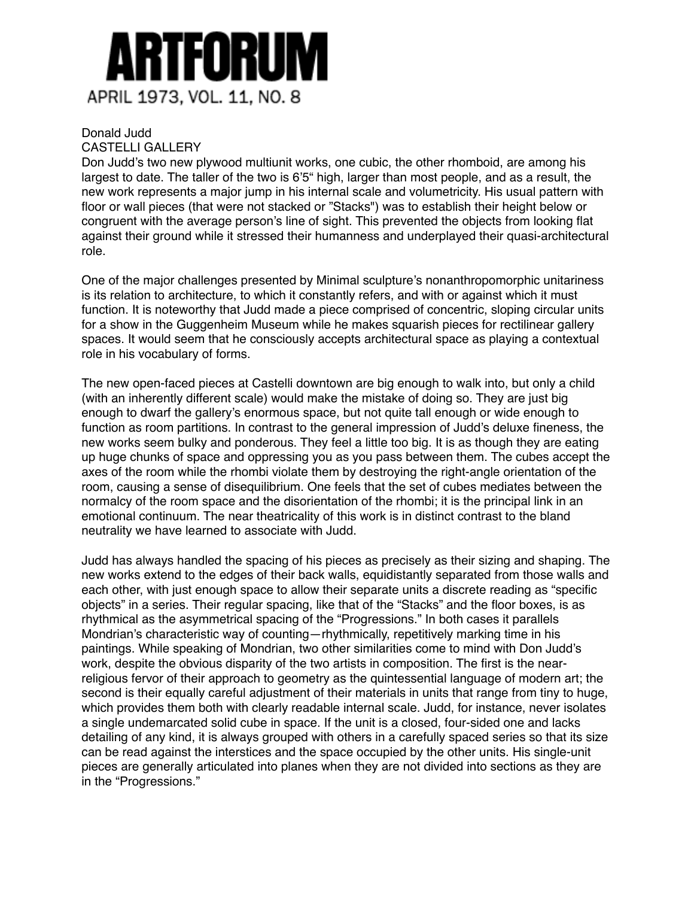

## Donald Judd

## CASTELLI GALLERY

Don Judd's two new plywood multiunit works, one cubic, the other rhomboid, are among his largest to date. The taller of the two is 6'5" high, larger than most people, and as a result, the new work represents a major jump in his internal scale and volumetricity. His usual pattern with floor or wall pieces (that were not stacked or "Stacks") was to establish their height below or congruent with the average person's line of sight. This prevented the objects from looking flat against their ground while it stressed their humanness and underplayed their quasi-architectural role.

One of the major challenges presented by Minimal sculpture's nonanthropomorphic unitariness is its relation to architecture, to which it constantly refers, and with or against which it must function. It is noteworthy that Judd made a piece comprised of concentric, sloping circular units for a show in the Guggenheim Museum while he makes squarish pieces for rectilinear gallery spaces. It would seem that he consciously accepts architectural space as playing a contextual role in his vocabulary of forms.

The new open-faced pieces at Castelli downtown are big enough to walk into, but only a child (with an inherently different scale) would make the mistake of doing so. They are just big enough to dwarf the gallery's enormous space, but not quite tall enough or wide enough to function as room partitions. In contrast to the general impression of Judd's deluxe fineness, the new works seem bulky and ponderous. They feel a little too big. It is as though they are eating up huge chunks of space and oppressing you as you pass between them. The cubes accept the axes of the room while the rhombi violate them by destroying the right-angle orientation of the room, causing a sense of disequilibrium. One feels that the set of cubes mediates between the normalcy of the room space and the disorientation of the rhombi; it is the principal link in an emotional continuum. The near theatricality of this work is in distinct contrast to the bland neutrality we have learned to associate with Judd.

Judd has always handled the spacing of his pieces as precisely as their sizing and shaping. The new works extend to the edges of their back walls, equidistantly separated from those walls and each other, with just enough space to allow their separate units a discrete reading as "specific objects" in a series. Their regular spacing, like that of the "Stacks" and the floor boxes, is as rhythmical as the asymmetrical spacing of the "Progressions." In both cases it parallels Mondrian's characteristic way of counting—rhythmically, repetitively marking time in his paintings. While speaking of Mondrian, two other similarities come to mind with Don Judd's work, despite the obvious disparity of the two artists in composition. The first is the nearreligious fervor of their approach to geometry as the quintessential language of modern art; the second is their equally careful adjustment of their materials in units that range from tiny to huge, which provides them both with clearly readable internal scale. Judd, for instance, never isolates a single undemarcated solid cube in space. If the unit is a closed, four-sided one and lacks detailing of any kind, it is always grouped with others in a carefully spaced series so that its size can be read against the interstices and the space occupied by the other units. His single-unit pieces are generally articulated into planes when they are not divided into sections as they are in the "Progressions."